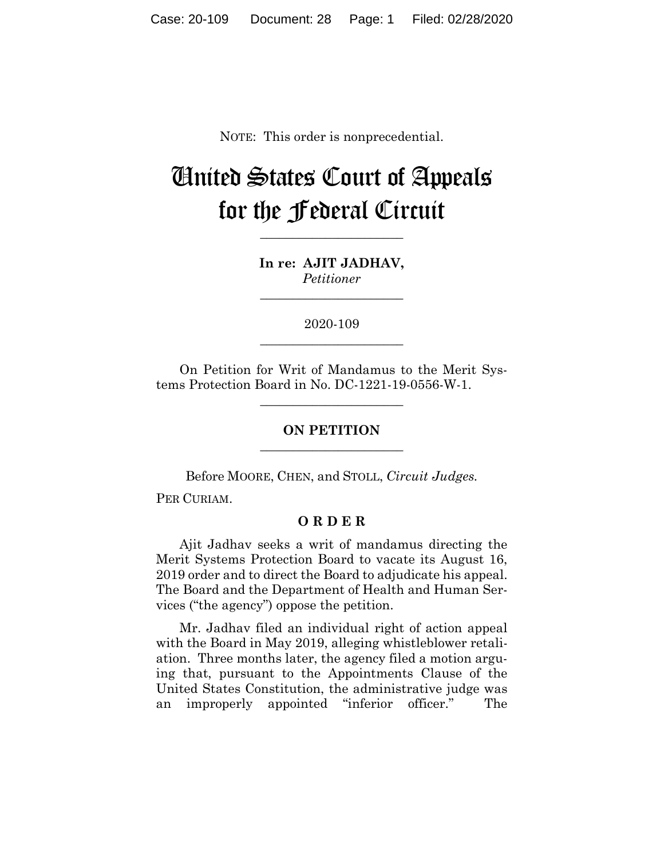NOTE: This order is nonprecedential.

## United States Court of Appeals for the Federal Circuit

**In re: AJIT JADHAV,** *Petitioner*

**\_\_\_\_\_\_\_\_\_\_\_\_\_\_\_\_\_\_\_\_\_\_**

**\_\_\_\_\_\_\_\_\_\_\_\_\_\_\_\_\_\_\_\_\_\_**

2020-109 **\_\_\_\_\_\_\_\_\_\_\_\_\_\_\_\_\_\_\_\_\_\_**

On Petition for Writ of Mandamus to the Merit Systems Protection Board in No. DC-1221-19-0556-W-1.

**\_\_\_\_\_\_\_\_\_\_\_\_\_\_\_\_\_\_\_\_\_\_**

**ON PETITION \_\_\_\_\_\_\_\_\_\_\_\_\_\_\_\_\_\_\_\_\_\_**

Before MOORE, CHEN, and STOLL, *Circuit Judges.*

PER CURIAM.

## **O R D E R**

Ajit Jadhav seeks a writ of mandamus directing the Merit Systems Protection Board to vacate its August 16, 2019 order and to direct the Board to adjudicate his appeal. The Board and the Department of Health and Human Services ("the agency") oppose the petition.

Mr. Jadhav filed an individual right of action appeal with the Board in May 2019, alleging whistleblower retaliation. Three months later, the agency filed a motion arguing that, pursuant to the Appointments Clause of the United States Constitution, the administrative judge was an improperly appointed "inferior officer." The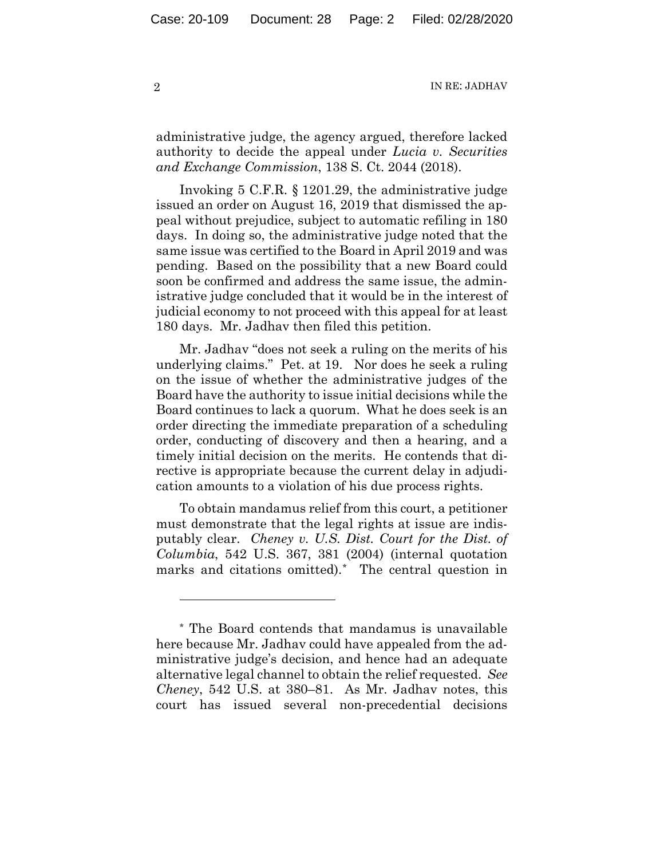2 IN RE: JADHAV

administrative judge, the agency argued, therefore lacked authority to decide the appeal under *Lucia v. Securities and Exchange Commission*, 138 S. Ct. 2044 (2018).

Invoking 5 C.F.R. § 1201.29, the administrative judge issued an order on August 16, 2019 that dismissed the appeal without prejudice, subject to automatic refiling in 180 days. In doing so, the administrative judge noted that the same issue was certified to the Board in April 2019 and was pending. Based on the possibility that a new Board could soon be confirmed and address the same issue, the administrative judge concluded that it would be in the interest of judicial economy to not proceed with this appeal for at least 180 days. Mr. Jadhav then filed this petition.

Mr. Jadhav "does not seek a ruling on the merits of his underlying claims." Pet. at 19. Nor does he seek a ruling on the issue of whether the administrative judges of the Board have the authority to issue initial decisions while the Board continues to lack a quorum. What he does seek is an order directing the immediate preparation of a scheduling order, conducting of discovery and then a hearing, and a timely initial decision on the merits. He contends that directive is appropriate because the current delay in adjudication amounts to a violation of his due process rights.

To obtain mandamus relief from this court, a petitioner must demonstrate that the legal rights at issue are indisputably clear. *Cheney v. U.S. Dist. Court for the Dist. of Columbia*, 542 U.S. 367, 381 (2004) (internal quotation marks and citations omitted).\* The central question in

1

<sup>\*</sup> The Board contends that mandamus is unavailable here because Mr. Jadhav could have appealed from the administrative judge's decision, and hence had an adequate alternative legal channel to obtain the relief requested. *See Cheney*, 542 U.S. at 380–81. As Mr. Jadhav notes, this court has issued several non-precedential decisions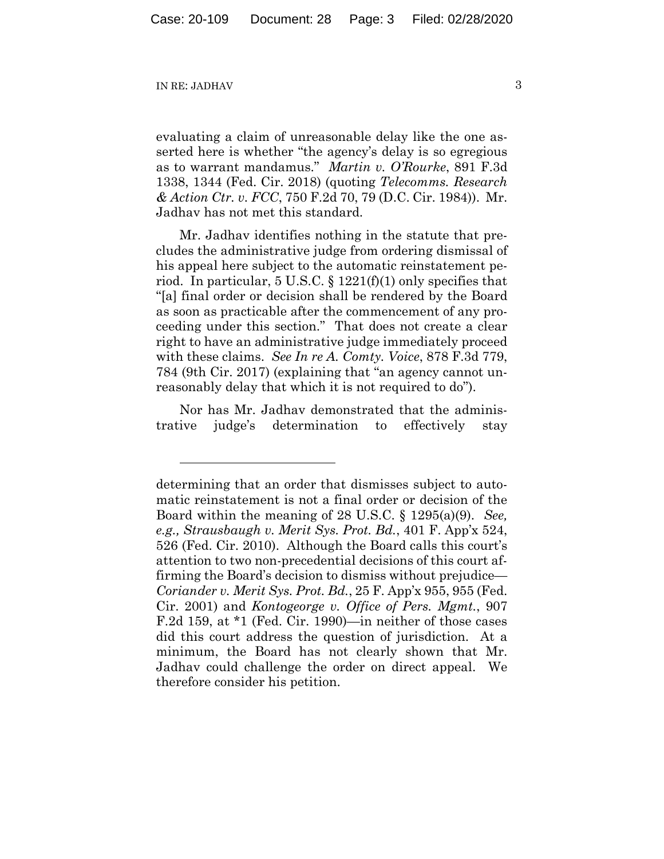## IN RE: JADHAV 3

1

evaluating a claim of unreasonable delay like the one asserted here is whether "the agency's delay is so egregious as to warrant mandamus." *Martin v. O'Rourke*, 891 F.3d 1338, 1344 (Fed. Cir. 2018) (quoting *Telecomms. Research & Action Ctr. v. FCC*, 750 F.2d 70, 79 (D.C. Cir. 1984)). Mr. Jadhav has not met this standard.

Mr. Jadhav identifies nothing in the statute that precludes the administrative judge from ordering dismissal of his appeal here subject to the automatic reinstatement period. In particular, 5 U.S.C.  $\S 1221(f)(1)$  only specifies that "[a] final order or decision shall be rendered by the Board as soon as practicable after the commencement of any proceeding under this section." That does not create a clear right to have an administrative judge immediately proceed with these claims. *See In re A. Comty. Voice*, 878 F.3d 779, 784 (9th Cir. 2017) (explaining that "an agency cannot unreasonably delay that which it is not required to do").

Nor has Mr. Jadhav demonstrated that the administrative judge's determination to effectively stay

determining that an order that dismisses subject to automatic reinstatement is not a final order or decision of the Board within the meaning of 28 U.S.C. § 1295(a)(9). *See, e.g., Strausbaugh v. Merit Sys. Prot. Bd.*, 401 F. App'x 524, 526 (Fed. Cir. 2010). Although the Board calls this court's attention to two non-precedential decisions of this court affirming the Board's decision to dismiss without prejudice— *Coriander v. Merit Sys. Prot. Bd.*, 25 F. App'x 955, 955 (Fed. Cir. 2001) and *Kontogeorge v. Office of Pers. Mgmt.*, 907 F.2d 159, at \*1 (Fed. Cir. 1990)—in neither of those cases did this court address the question of jurisdiction. At a minimum, the Board has not clearly shown that Mr. Jadhav could challenge the order on direct appeal. We therefore consider his petition.